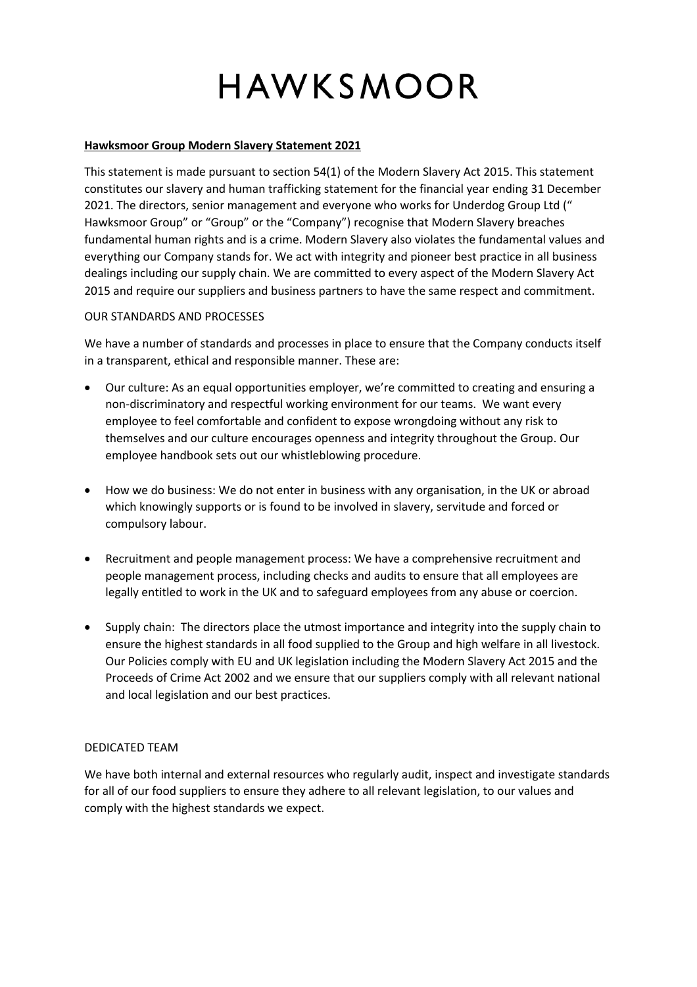# HAWKSMOOR

### **Hawksmoor Group Modern Slavery Statement 2021**

This statement is made pursuant to section 54(1) of the Modern Slavery Act 2015. This statement constitutes our slavery and human trafficking statement for the financial year ending 31 December 2021. The directors, senior management and everyone who works for Underdog Group Ltd (" Hawksmoor Group" or "Group" or the "Company") recognise that Modern Slavery breaches fundamental human rights and is a crime. Modern Slavery also violates the fundamental values and everything our Company stands for. We act with integrity and pioneer best practice in all business dealings including our supply chain. We are committed to every aspect of the Modern Slavery Act 2015 and require our suppliers and business partners to have the same respect and commitment.

## OUR STANDARDS AND PROCESSES

We have a number of standards and processes in place to ensure that the Company conducts itself in a transparent, ethical and responsible manner. These are:

- Our culture: As an equal opportunities employer, we're committed to creating and ensuring a non-discriminatory and respectful working environment for our teams. We want every employee to feel comfortable and confident to expose wrongdoing without any risk to themselves and our culture encourages openness and integrity throughout the Group. Our employee handbook sets out our whistleblowing procedure.
- How we do business: We do not enter in business with any organisation, in the UK or abroad which knowingly supports or is found to be involved in slavery, servitude and forced or compulsory labour.
- Recruitment and people management process: We have a comprehensive recruitment and people management process, including checks and audits to ensure that all employees are legally entitled to work in the UK and to safeguard employees from any abuse or coercion.
- Supply chain: The directors place the utmost importance and integrity into the supply chain to ensure the highest standards in all food supplied to the Group and high welfare in all livestock. Our Policies comply with EU and UK legislation including the Modern Slavery Act 2015 and the Proceeds of Crime Act 2002 and we ensure that our suppliers comply with all relevant national and local legislation and our best practices.

## DEDICATED TEAM

We have both internal and external resources who regularly audit, inspect and investigate standards for all of our food suppliers to ensure they adhere to all relevant legislation, to our values and comply with the highest standards we expect.